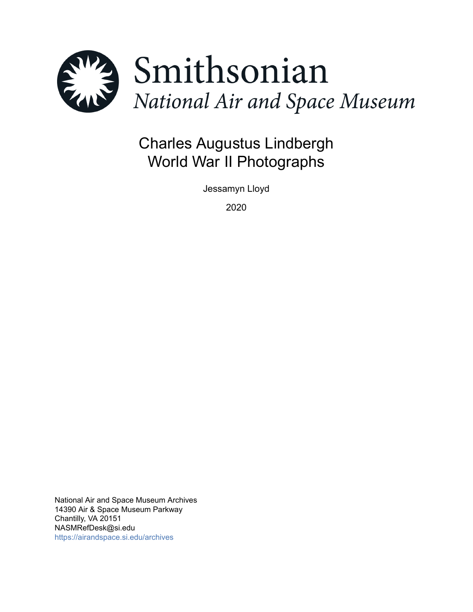

# Charles Augustus Lindbergh World War II Photographs

Jessamyn Lloyd

2020

National Air and Space Museum Archives 14390 Air & Space Museum Parkway Chantilly, VA 20151 NASMRefDesk@si.edu <https://airandspace.si.edu/archives>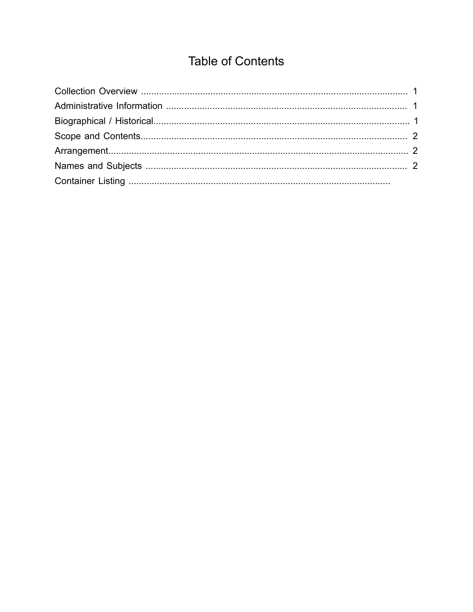## **Table of Contents**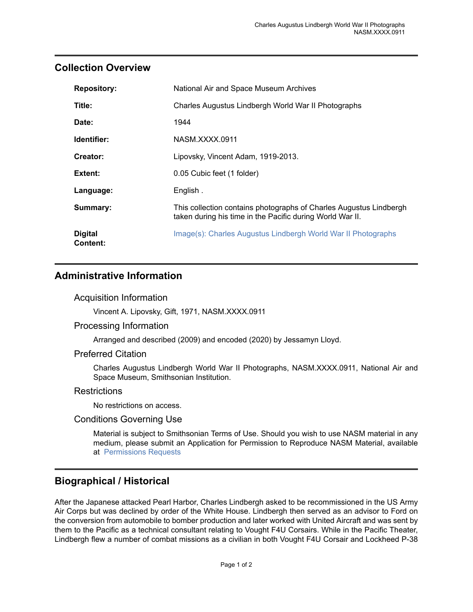## <span id="page-2-0"></span>**Collection Overview**

| <b>Repository:</b>                | National Air and Space Museum Archives                                                                                          |
|-----------------------------------|---------------------------------------------------------------------------------------------------------------------------------|
| Title:                            | Charles Augustus Lindbergh World War II Photographs                                                                             |
| Date:                             | 1944                                                                                                                            |
| Identifier:                       | NASM XXXX 0911                                                                                                                  |
| Creator:                          | Lipovsky, Vincent Adam, 1919-2013.                                                                                              |
| <b>Extent:</b>                    | 0.05 Cubic feet (1 folder)                                                                                                      |
| Language:                         | English.                                                                                                                        |
| Summary:                          | This collection contains photographs of Charles Augustus Lindbergh<br>taken during his time in the Pacific during World War II. |
| <b>Digital</b><br><b>Content:</b> | Image(s): Charles Augustus Lindbergh World War II Photographs                                                                   |

## <span id="page-2-1"></span>**Administrative Information**

#### Acquisition Information

Vincent A. Lipovsky, Gift, 1971, NASM.XXXX.0911

#### Processing Information

Arranged and described (2009) and encoded (2020) by Jessamyn Lloyd.

#### Preferred Citation

Charles Augustus Lindbergh World War II Photographs, NASM.XXXX.0911, National Air and Space Museum, Smithsonian Institution.

#### **Restrictions**

No restrictions on access.

#### Conditions Governing Use

Material is subject to Smithsonian Terms of Use. Should you wish to use NASM material in any medium, please submit an Application for Permission to Reproduce NASM Material, available at [Permissions Requests](http://airandspace.si.edu/permissions)

## <span id="page-2-2"></span>**Biographical / Historical**

After the Japanese attacked Pearl Harbor, Charles Lindbergh asked to be recommissioned in the US Army Air Corps but was declined by order of the White House. Lindbergh then served as an advisor to Ford on the conversion from automobile to bomber production and later worked with United Aircraft and was sent by them to the Pacific as a technical consultant relating to Vought F4U Corsairs. While in the Pacific Theater, Lindbergh flew a number of combat missions as a civilian in both Vought F4U Corsair and Lockheed P-38